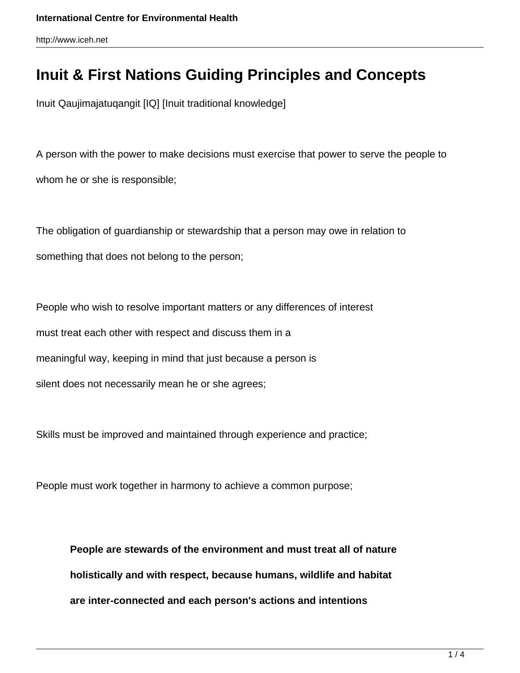## **Inuit & First Nations Guiding Principles and Concepts**

Inuit Qaujimajatuqangit [IQ] [Inuit traditional knowledge]

A person with the power to make decisions must exercise that power to serve the people to whom he or she is responsible;

The obligation of guardianship or stewardship that a person may owe in relation to something that does not belong to the person;

People who wish to resolve important matters or any differences of interest must treat each other with respect and discuss them in a meaningful way, keeping in mind that just because a person is silent does not necessarily mean he or she agrees;

Skills must be improved and maintained through experience and practice;

People must work together in harmony to achieve a common purpose;

**People are stewards of the environment and must treat all of nature holistically and with respect, because humans, wildlife and habitat are inter-connected and each person's actions and intentions**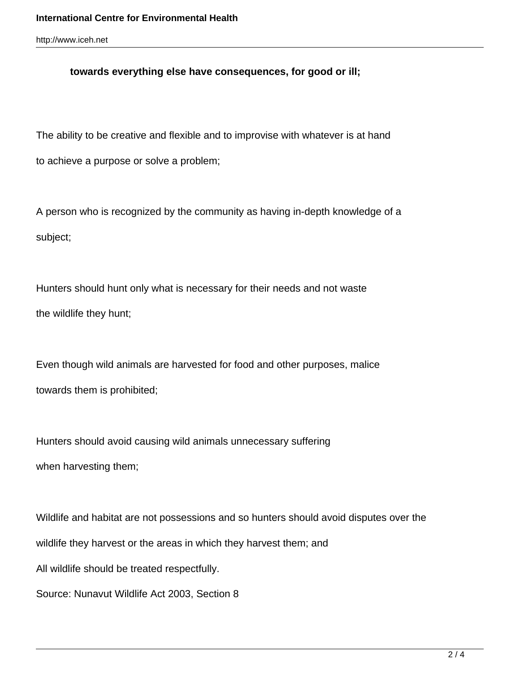## **towards everything else have consequences, for good or ill;**

The ability to be creative and flexible and to improvise with whatever is at hand to achieve a purpose or solve a problem;

A person who is recognized by the community as having in-depth knowledge of a subject;

Hunters should hunt only what is necessary for their needs and not waste the wildlife they hunt;

Even though wild animals are harvested for food and other purposes, malice towards them is prohibited;

Hunters should avoid causing wild animals unnecessary suffering when harvesting them;

Wildlife and habitat are not possessions and so hunters should avoid disputes over the wildlife they harvest or the areas in which they harvest them; and All wildlife should be treated respectfully. Source: Nunavut Wildlife Act 2003, Section 8